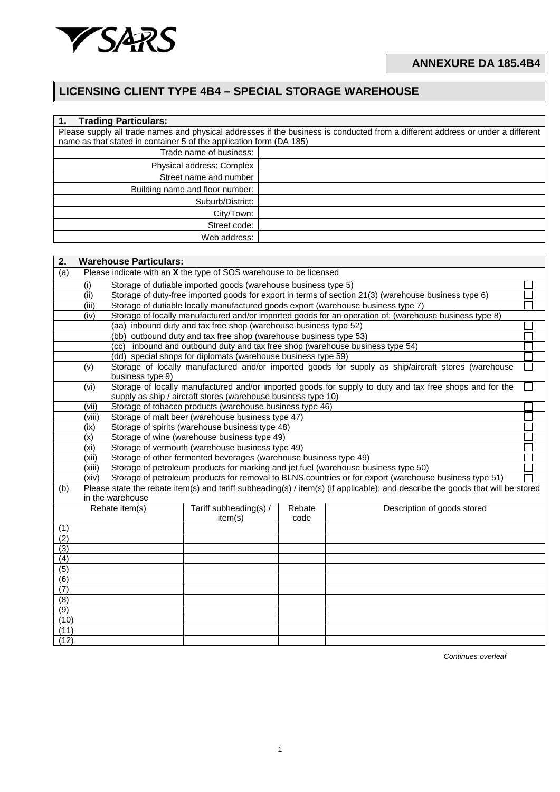

## **LICENSING CLIENT TYPE 4B4 – SPECIAL STORAGE WAREHOUSE**

| <b>Trading Particulars:</b>                                         |                                                                                                                                 |
|---------------------------------------------------------------------|---------------------------------------------------------------------------------------------------------------------------------|
|                                                                     | Please supply all trade names and physical addresses if the business is conducted from a different address or under a different |
| name as that stated in container 5 of the application form (DA 185) |                                                                                                                                 |
| Trade name of business:                                             |                                                                                                                                 |
| Physical address: Complex                                           |                                                                                                                                 |
| Street name and number                                              |                                                                                                                                 |
| Building name and floor number:                                     |                                                                                                                                 |
| Suburb/District:                                                    |                                                                                                                                 |
| City/Town:                                                          |                                                                                                                                 |
| Street code:                                                        |                                                                                                                                 |
| Web address:                                                        |                                                                                                                                 |

| 2.               |                                                                                   | <b>Warehouse Particulars:</b>                                                                                                                                     |                                                  |      |                                                                                                                                |  |  |  |  |  |  |  |  |
|------------------|-----------------------------------------------------------------------------------|-------------------------------------------------------------------------------------------------------------------------------------------------------------------|--------------------------------------------------|------|--------------------------------------------------------------------------------------------------------------------------------|--|--|--|--|--|--|--|--|
| (a)              | Please indicate with an X the type of SOS warehouse to be licensed                |                                                                                                                                                                   |                                                  |      |                                                                                                                                |  |  |  |  |  |  |  |  |
|                  | (i)                                                                               | Storage of dutiable imported goods (warehouse business type 5)                                                                                                    |                                                  |      |                                                                                                                                |  |  |  |  |  |  |  |  |
|                  | (ii)                                                                              | Storage of duty-free imported goods for export in terms of section 21(3) (warehouse business type 6)                                                              |                                                  |      |                                                                                                                                |  |  |  |  |  |  |  |  |
|                  | (iii)                                                                             | Storage of dutiable locally manufactured goods export (warehouse business type 7)                                                                                 |                                                  |      |                                                                                                                                |  |  |  |  |  |  |  |  |
|                  | (iv)                                                                              | Storage of locally manufactured and/or imported goods for an operation of: (warehouse business type 8)                                                            |                                                  |      |                                                                                                                                |  |  |  |  |  |  |  |  |
|                  |                                                                                   | (aa) inbound duty and tax free shop (warehouse business type 52)                                                                                                  |                                                  |      |                                                                                                                                |  |  |  |  |  |  |  |  |
|                  |                                                                                   | (bb) outbound duty and tax free shop (warehouse business type 53)                                                                                                 |                                                  |      |                                                                                                                                |  |  |  |  |  |  |  |  |
|                  |                                                                                   | (cc) inbound and outbound duty and tax free shop (warehouse business type 54)                                                                                     |                                                  |      |                                                                                                                                |  |  |  |  |  |  |  |  |
|                  |                                                                                   | (dd) special shops for diplomats (warehouse business type 59)                                                                                                     |                                                  |      |                                                                                                                                |  |  |  |  |  |  |  |  |
|                  |                                                                                   | Storage of locally manufactured and/or imported goods for supply as ship/aircraft stores (warehouse<br>(v)                                                        |                                                  |      |                                                                                                                                |  |  |  |  |  |  |  |  |
|                  | business type 9)                                                                  |                                                                                                                                                                   |                                                  |      |                                                                                                                                |  |  |  |  |  |  |  |  |
|                  |                                                                                   | Storage of locally manufactured and/or imported goods for supply to duty and tax free shops and for the<br>(vi)                                                   |                                                  |      |                                                                                                                                |  |  |  |  |  |  |  |  |
|                  | supply as ship / aircraft stores (warehouse business type 10)                     |                                                                                                                                                                   |                                                  |      |                                                                                                                                |  |  |  |  |  |  |  |  |
|                  |                                                                                   | Storage of tobacco products (warehouse business type 46)<br>(vii)                                                                                                 |                                                  |      |                                                                                                                                |  |  |  |  |  |  |  |  |
|                  |                                                                                   | Storage of malt beer (warehouse business type 47)<br>(viii)                                                                                                       |                                                  |      |                                                                                                                                |  |  |  |  |  |  |  |  |
|                  |                                                                                   | Storage of spirits (warehouse business type 48)<br>(ix)                                                                                                           |                                                  |      |                                                                                                                                |  |  |  |  |  |  |  |  |
|                  | (x)                                                                               |                                                                                                                                                                   | Storage of wine (warehouse business type 49)     |      |                                                                                                                                |  |  |  |  |  |  |  |  |
|                  | (xi)                                                                              |                                                                                                                                                                   | Storage of vermouth (warehouse business type 49) |      |                                                                                                                                |  |  |  |  |  |  |  |  |
|                  |                                                                                   | Storage of other fermented beverages (warehouse business type 49)<br>(xii)<br>Storage of petroleum products for marking and jet fuel (warehouse business type 50) |                                                  |      |                                                                                                                                |  |  |  |  |  |  |  |  |
|                  | (xiii)<br>(xiv)                                                                   |                                                                                                                                                                   |                                                  |      | Storage of petroleum products for removal to BLNS countries or for export (warehouse business type 51)                         |  |  |  |  |  |  |  |  |
|                  |                                                                                   |                                                                                                                                                                   |                                                  |      | Please state the rebate item(s) and tariff subheading(s) / item(s) (if applicable); and describe the goods that will be stored |  |  |  |  |  |  |  |  |
| (b)              |                                                                                   | in the warehouse                                                                                                                                                  |                                                  |      |                                                                                                                                |  |  |  |  |  |  |  |  |
|                  | Tariff subheading(s) /<br>Rebate item(s)<br>Rebate<br>Description of goods stored |                                                                                                                                                                   |                                                  |      |                                                                                                                                |  |  |  |  |  |  |  |  |
|                  |                                                                                   |                                                                                                                                                                   | item(s)                                          | code |                                                                                                                                |  |  |  |  |  |  |  |  |
| (1)              |                                                                                   |                                                                                                                                                                   |                                                  |      |                                                                                                                                |  |  |  |  |  |  |  |  |
| (2)              |                                                                                   |                                                                                                                                                                   |                                                  |      |                                                                                                                                |  |  |  |  |  |  |  |  |
| (3)              |                                                                                   |                                                                                                                                                                   |                                                  |      |                                                                                                                                |  |  |  |  |  |  |  |  |
| $\overline{(4)}$ |                                                                                   |                                                                                                                                                                   |                                                  |      |                                                                                                                                |  |  |  |  |  |  |  |  |
| (5)              |                                                                                   |                                                                                                                                                                   |                                                  |      |                                                                                                                                |  |  |  |  |  |  |  |  |
| (6)              |                                                                                   |                                                                                                                                                                   |                                                  |      |                                                                                                                                |  |  |  |  |  |  |  |  |
| (7)              |                                                                                   |                                                                                                                                                                   |                                                  |      |                                                                                                                                |  |  |  |  |  |  |  |  |
| (8)              |                                                                                   |                                                                                                                                                                   |                                                  |      |                                                                                                                                |  |  |  |  |  |  |  |  |
| (9)              |                                                                                   |                                                                                                                                                                   |                                                  |      |                                                                                                                                |  |  |  |  |  |  |  |  |
| (10)             |                                                                                   |                                                                                                                                                                   |                                                  |      |                                                                                                                                |  |  |  |  |  |  |  |  |
| (11)             |                                                                                   |                                                                                                                                                                   |                                                  |      |                                                                                                                                |  |  |  |  |  |  |  |  |
| (12)             |                                                                                   |                                                                                                                                                                   |                                                  |      |                                                                                                                                |  |  |  |  |  |  |  |  |

*Continues overleaf*